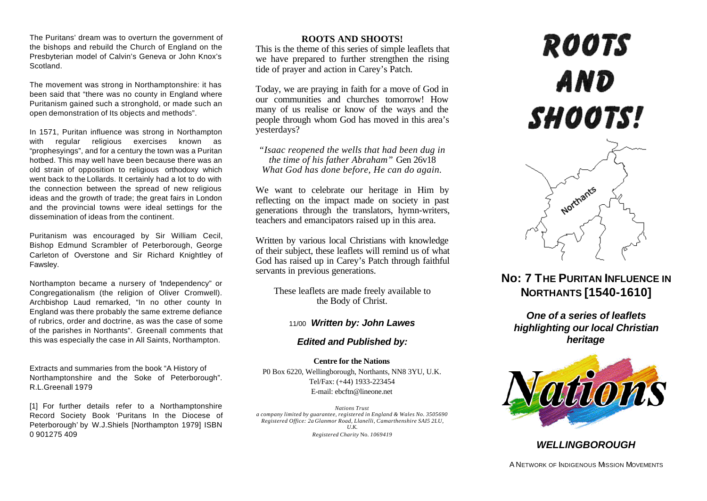The Puritans' dream was to overturn the government of the bishops and rebuild the Church of England on the Presbyterian model of Calvin's Geneva or John Knox's Scotland.

The movement was strong in Northamptonshire: it has been said that "there was no county in England where Puritanism gained such a stronghold, or made such an open demonstration of Its objects and methods".

In 1571, Puritan influence was strong in Northampton with regular religious exercises known as "prophesyings", and for a century the town was a Puritan hotbed. This may well have been because there was an old strain of opposition to religious orthodoxy which went back to the Lollards. It certainly had a lot to do with the connection between the spread of new religious ideas and the growth of trade; the great fairs in London and the provincial towns were ideal settings for the dissemination of ideas from the continent.

Puritanism was encouraged by Sir William Cecil, Bishop Edmund Scrambler of Peterborough, George Carleton of Overstone and Sir Richard Knightley of Fawsley.

Northampton became a nursery of "Independency" or Congregationalism (the religion of Oliver Cromwell). Archbishop Laud remarked, "In no other county In England was there probably the same extreme defiance of rubrics, order and doctrine, as was the case of some of the parishes in Northants". Greenall comments that this was especially the case in All Saints, Northampton.

Extracts and summaries from the book "A History of Northamptonshire and the Soke of Peterborough". R.L.Greenall 1979

[1] For further details refer to a Northamptonshire Record Society Book 'Puritans In the Diocese of Peterborough' by W.J.Shiels [Northampton 1979] ISBN 0 901275 409

### **ROOTS AND SHOOTS!**

This is the theme of this series of simple leaflets that we have prepared to further strengthen the rising tide of prayer and action in Carey's Patch.

Today, we are praying in faith for a move of God in our communities and churches tomorrow! How many of us realise or know of the ways and the people through whom God has moved in this area's yesterdays?

*"Isaac reopened the wells that had been dug in the time of his father Abraham"* Gen 26v18 *What God has done before, He can do again.*

We want to celebrate our heritage in Him by reflecting on the impact made on society in past generations through the translators, hymn-writers, teachers and emancipators raised up in this area.

Written by various local Christians with knowledge of their subject, these leaflets will remind us of what God has raised up in Carey's Patch through faithful servants in previous generations.

These leaflets are made freely available to the Body of Christ.

# 11/00 *Written by: John Lawes*

# *Edited and Published by:*

**Centre for the Nations** P0 Box 6220, Wellingborough, Northants, NN8 3YU, U.K. Tel/Fax: (+44) 1933-223454 E-mail: ebcftn@lineone.net

*Nations Trust a company limited by guarantee, registered in England & Wales No. 3505690 Registered Office: 2a Glanmor Road, Llanelli, Camarthenshire SAI5 2LU, U.K. Registered Charity* No. *1069419*

# **ROOTS** AND SHOOTS!



# **No: 7 THE PURITAN INFLUENCE IN NORTHANTS [1540-1610]**

*One of a series of leaflets highlighting our local Christian heritage*



# *WELLINGBOROUGH*